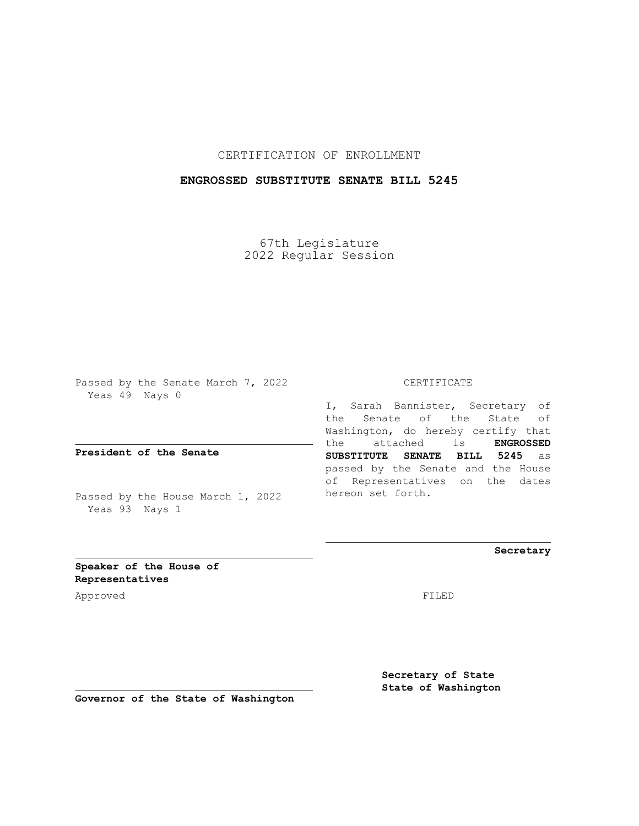## CERTIFICATION OF ENROLLMENT

## **ENGROSSED SUBSTITUTE SENATE BILL 5245**

67th Legislature 2022 Regular Session

Passed by the Senate March 7, 2022 Yeas 49 Nays 0

**President of the Senate**

Passed by the House March 1, 2022 Yeas 93 Nays 1

CERTIFICATE

I, Sarah Bannister, Secretary of the Senate of the State of Washington, do hereby certify that the attached is **ENGROSSED SUBSTITUTE SENATE BILL 5245** as passed by the Senate and the House of Representatives on the dates hereon set forth.

**Secretary**

**Speaker of the House of Representatives**

Approved FILED

**Secretary of State State of Washington**

**Governor of the State of Washington**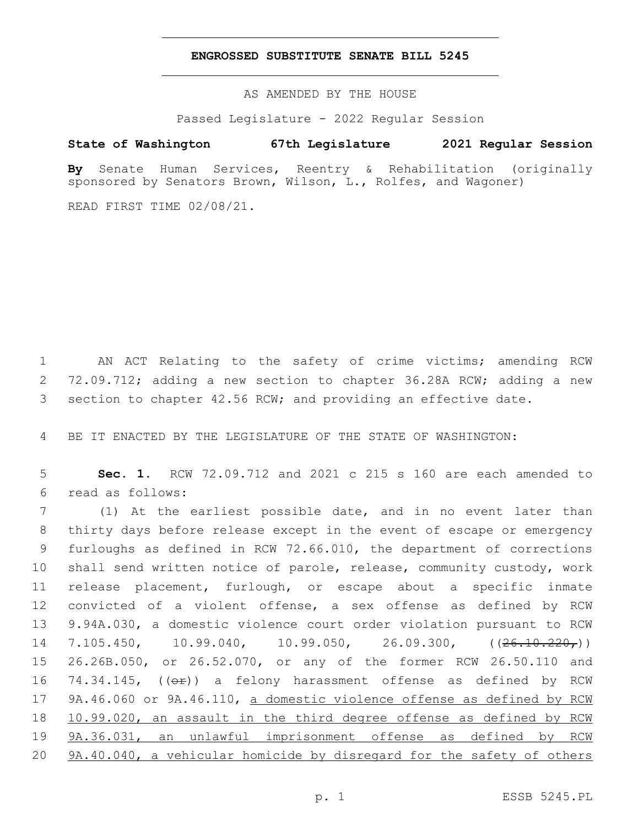## **ENGROSSED SUBSTITUTE SENATE BILL 5245**

AS AMENDED BY THE HOUSE

Passed Legislature - 2022 Regular Session

## **State of Washington 67th Legislature 2021 Regular Session**

**By** Senate Human Services, Reentry & Rehabilitation (originally sponsored by Senators Brown, Wilson, L., Rolfes, and Wagoner)

READ FIRST TIME 02/08/21.

1 AN ACT Relating to the safety of crime victims; amending RCW 2 72.09.712; adding a new section to chapter 36.28A RCW; adding a new 3 section to chapter 42.56 RCW; and providing an effective date.

4 BE IT ENACTED BY THE LEGISLATURE OF THE STATE OF WASHINGTON:

5 **Sec. 1.** RCW 72.09.712 and 2021 c 215 s 160 are each amended to read as follows:6

 (1) At the earliest possible date, and in no event later than thirty days before release except in the event of escape or emergency furloughs as defined in RCW 72.66.010, the department of corrections shall send written notice of parole, release, community custody, work release placement, furlough, or escape about a specific inmate convicted of a violent offense, a sex offense as defined by RCW 9.94A.030, a domestic violence court order violation pursuant to RCW 14 7.105.450, 10.99.040, 10.99.050, 26.09.300, ((<del>26.10.220,</del>)) 26.26B.050, or 26.52.070, or any of the former RCW 26.50.110 and 16 74.34.145,  $((\theta \cdot \hat{r}))$  a felony harassment offense as defined by RCW 17 9A.46.060 or 9A.46.110, a domestic violence offense as defined by RCW 10.99.020, an assault in the third degree offense as defined by RCW 9A.36.031, an unlawful imprisonment offense as defined by RCW 9A.40.040, a vehicular homicide by disregard for the safety of others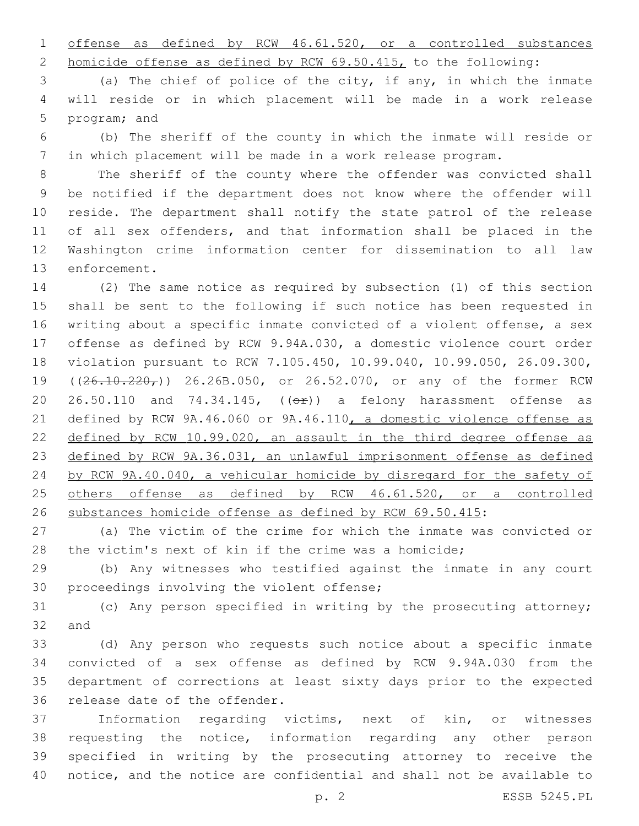offense as defined by RCW 46.61.520, or a controlled substances

homicide offense as defined by RCW 69.50.415, to the following:

 (a) The chief of police of the city, if any, in which the inmate will reside or in which placement will be made in a work release 5 program; and

 (b) The sheriff of the county in which the inmate will reside or in which placement will be made in a work release program.

 The sheriff of the county where the offender was convicted shall be notified if the department does not know where the offender will reside. The department shall notify the state patrol of the release of all sex offenders, and that information shall be placed in the Washington crime information center for dissemination to all law 13 enforcement.

 (2) The same notice as required by subsection (1) of this section shall be sent to the following if such notice has been requested in writing about a specific inmate convicted of a violent offense, a sex offense as defined by RCW 9.94A.030, a domestic violence court order violation pursuant to RCW 7.105.450, 10.99.040, 10.99.050, 26.09.300, 19 ((26.10.220,)) 26.26B.050, or 26.52.070, or any of the former RCW 20 26.50.110 and 74.34.145,  $((\Theta \rightarrow \bullet) )$  a felony harassment offense as defined by RCW 9A.46.060 or 9A.46.110, a domestic violence offense as defined by RCW 10.99.020, an assault in the third degree offense as defined by RCW 9A.36.031, an unlawful imprisonment offense as defined by RCW 9A.40.040, a vehicular homicide by disregard for the safety of 25 others offense as defined by RCW 46.61.520, or a controlled substances homicide offense as defined by RCW 69.50.415:

 (a) The victim of the crime for which the inmate was convicted or the victim's next of kin if the crime was a homicide;

 (b) Any witnesses who testified against the inmate in any court 30 proceedings involving the violent offense;

 (c) Any person specified in writing by the prosecuting attorney; 32 and

 (d) Any person who requests such notice about a specific inmate convicted of a sex offense as defined by RCW 9.94A.030 from the department of corrections at least sixty days prior to the expected 36 release date of the offender.

 Information regarding victims, next of kin, or witnesses requesting the notice, information regarding any other person specified in writing by the prosecuting attorney to receive the notice, and the notice are confidential and shall not be available to

p. 2 ESSB 5245.PL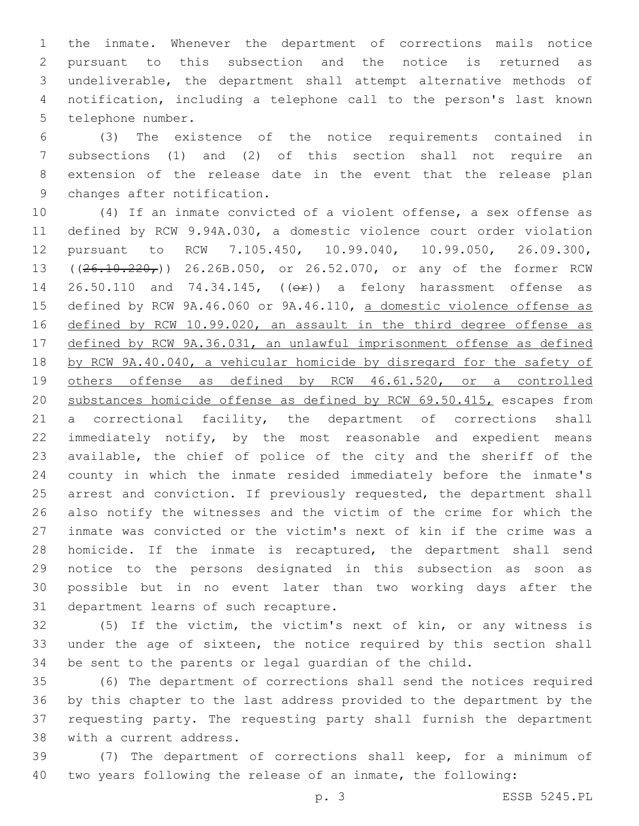the inmate. Whenever the department of corrections mails notice pursuant to this subsection and the notice is returned as undeliverable, the department shall attempt alternative methods of notification, including a telephone call to the person's last known 5 telephone number.

 (3) The existence of the notice requirements contained in subsections (1) and (2) of this section shall not require an extension of the release date in the event that the release plan 9 changes after notification.

 (4) If an inmate convicted of a violent offense, a sex offense as defined by RCW 9.94A.030, a domestic violence court order violation pursuant to RCW 7.105.450, 10.99.040, 10.99.050, 26.09.300, 13 ((26.10.220,)) 26.26B.050, or 26.52.070, or any of the former RCW 14 26.50.110 and 74.34.145, (( $\Theta$ ) a felony harassment offense as defined by RCW 9A.46.060 or 9A.46.110, a domestic violence offense as defined by RCW 10.99.020, an assault in the third degree offense as defined by RCW 9A.36.031, an unlawful imprisonment offense as defined by RCW 9A.40.040, a vehicular homicide by disregard for the safety of others offense as defined by RCW 46.61.520, or a controlled substances homicide offense as defined by RCW 69.50.415, escapes from a correctional facility, the department of corrections shall immediately notify, by the most reasonable and expedient means available, the chief of police of the city and the sheriff of the county in which the inmate resided immediately before the inmate's 25 arrest and conviction. If previously requested, the department shall also notify the witnesses and the victim of the crime for which the inmate was convicted or the victim's next of kin if the crime was a homicide. If the inmate is recaptured, the department shall send notice to the persons designated in this subsection as soon as possible but in no event later than two working days after the 31 department learns of such recapture.

 (5) If the victim, the victim's next of kin, or any witness is under the age of sixteen, the notice required by this section shall be sent to the parents or legal guardian of the child.

 (6) The department of corrections shall send the notices required by this chapter to the last address provided to the department by the requesting party. The requesting party shall furnish the department 38 with a current address.

 (7) The department of corrections shall keep, for a minimum of two years following the release of an inmate, the following: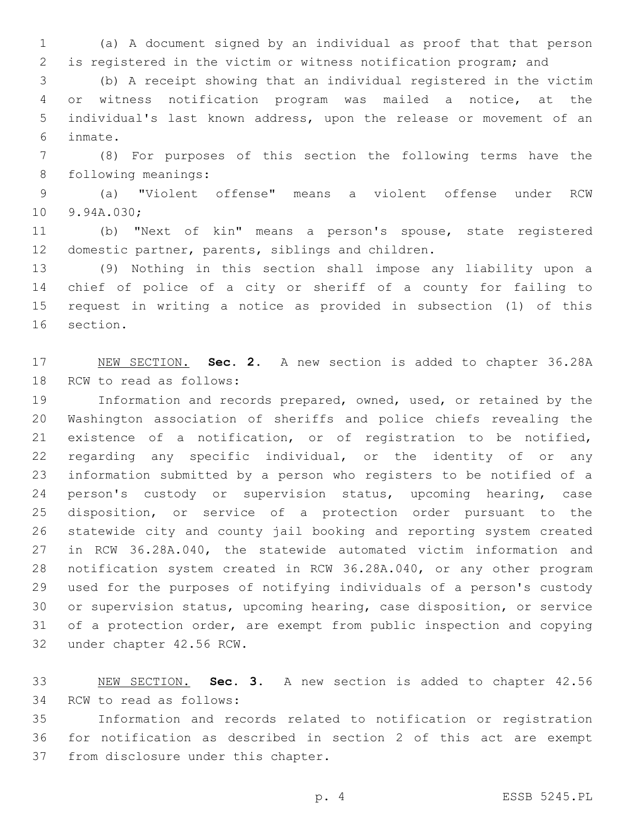(a) A document signed by an individual as proof that that person is registered in the victim or witness notification program; and

 (b) A receipt showing that an individual registered in the victim or witness notification program was mailed a notice, at the individual's last known address, upon the release or movement of an inmate.6

 (8) For purposes of this section the following terms have the 8 following meanings:

 (a) "Violent offense" means a violent offense under RCW 10 9.94A.030;

 (b) "Next of kin" means a person's spouse, state registered 12 domestic partner, parents, siblings and children.

 (9) Nothing in this section shall impose any liability upon a chief of police of a city or sheriff of a county for failing to request in writing a notice as provided in subsection (1) of this 16 section.

 NEW SECTION. **Sec. 2.** A new section is added to chapter 36.28A 18 RCW to read as follows:

 Information and records prepared, owned, used, or retained by the Washington association of sheriffs and police chiefs revealing the existence of a notification, or of registration to be notified, regarding any specific individual, or the identity of or any information submitted by a person who registers to be notified of a 24 person's custody or supervision status, upcoming hearing, case disposition, or service of a protection order pursuant to the statewide city and county jail booking and reporting system created in RCW 36.28A.040, the statewide automated victim information and notification system created in RCW 36.28A.040, or any other program used for the purposes of notifying individuals of a person's custody or supervision status, upcoming hearing, case disposition, or service of a protection order, are exempt from public inspection and copying 32 under chapter 42.56 RCW.

 NEW SECTION. **Sec. 3.** A new section is added to chapter 42.56 34 RCW to read as follows:

 Information and records related to notification or registration for notification as described in section 2 of this act are exempt 37 from disclosure under this chapter.